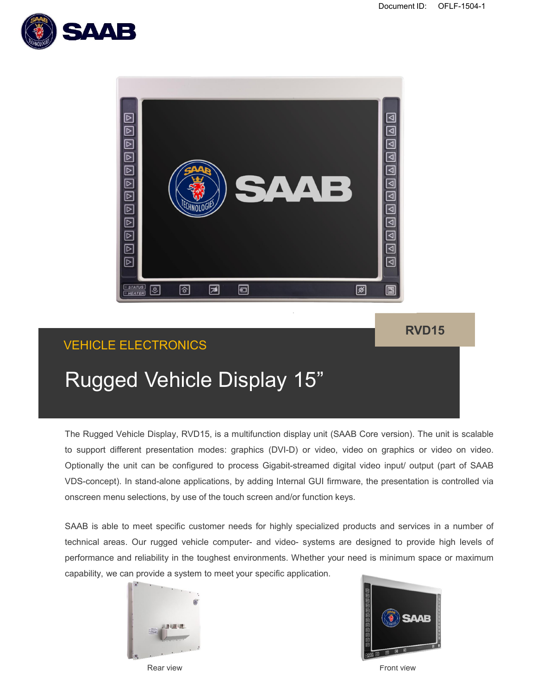



### **RVD15**

## VEHICLE ELECTRONICS

# Rugged Vehicle Display 15"

The Rugged Vehicle Display, RVD15, is a multifunction display unit (SAAB Core version). The unit is scalable to support different presentation modes: graphics (DVI-D) or video, video on graphics or video on video. Optionally the unit can be configured to process Gigabit-streamed digital video input/ output (part of SAAB VDS-concept). In stand-alone applications, by adding Internal GUI firmware, the presentation is controlled via onscreen menu selections, by use of the touch screen and/or function keys.

SAAB is able to meet specific customer needs for highly specialized products and services in a number of technical areas. Our rugged vehicle computer- and video- systems are designed to provide high levels of performance and reliability in the toughest environments. Whether your need is minimum space or maximum capability, we can provide a system to meet your specific application.





Rear view Front view